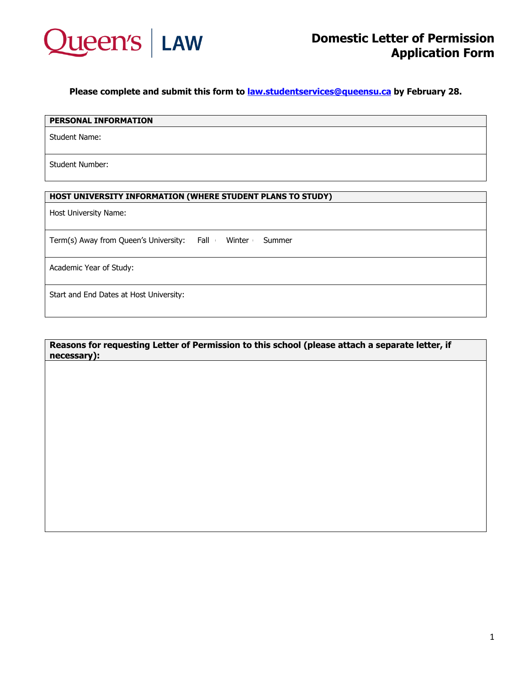

**Please complete and submit this form to [law.studentservices@queensu.ca](mailto:law.studentservices@queensu.ca) by February 28.**

### **PERSONAL INFORMATION**

Student Name:

Student Number:

# **HOST UNIVERSITY INFORMATION (WHERE STUDENT PLANS TO STUDY)**

Host University Name:

Term(s) Away from Queen's University: Fall Winter Summer

Academic Year of Study:

Start and End Dates at Host University:

### **Reasons for requesting Letter of Permission to this school (please attach a separate letter, if necessary):**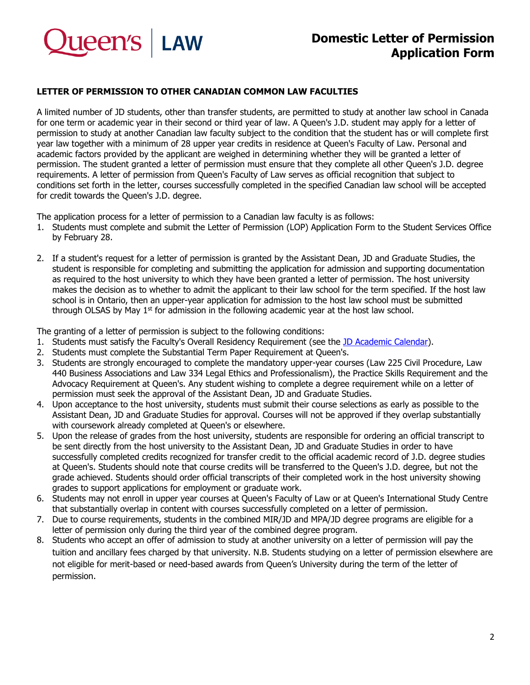

# **Domestic Letter of Permission Application Form**

# **LETTER OF PERMISSION TO OTHER CANADIAN COMMON LAW FACULTIES**

A limited number of JD students, other than transfer students, are permitted to study at another law school in Canada for one term or academic year in their second or third year of law. A Queen's J.D. student may apply for a letter of permission to study at another Canadian law faculty subject to the condition that the student has or will complete first year law together with a minimum of 28 upper year credits in residence at Queen's Faculty of Law. Personal and academic factors provided by the applicant are weighed in determining whether they will be granted a letter of permission. The student granted a letter of permission must ensure that they complete all other Queen's J.D. degree requirements. A letter of permission from Queen's Faculty of Law serves as official recognition that subject to conditions set forth in the letter, courses successfully completed in the specified Canadian law school will be accepted for credit towards the Queen's J.D. degree.

The application process for a letter of permission to a Canadian law faculty is as follows:

- 1. Students must complete and submit the Letter of Permission (LOP) Application Form to the Student Services Office by February 28.
- 2. If a student's request for a letter of permission is granted by the Assistant Dean, JD and Graduate Studies, the student is responsible for completing and submitting the application for admission and supporting documentation as required to the host university to which they have been granted a letter of permission. The host university makes the decision as to whether to admit the applicant to their law school for the term specified. If the host law school is in Ontario, then an upper-year application for admission to the host law school must be submitted through OLSAS by May  $1<sup>st</sup>$  for admission in the following academic year at the host law school.

The granting of a letter of permission is subject to the following conditions:

- 1. Students must satisfy the Faculty's Overall Residency Requirement (see the [JD Academic Calendar\)](https://law.queensu.ca/programs/jd/student-support/academic-calendar).
- 2. Students must complete the Substantial Term Paper Requirement at Queen's.
- 3. Students are strongly encouraged to complete the mandatory upper-year courses (Law 225 Civil Procedure, Law 440 Business Associations and Law 334 Legal Ethics and Professionalism), the Practice Skills Requirement and the Advocacy Requirement at Queen's. Any student wishing to complete a degree requirement while on a letter of permission must seek the approval of the Assistant Dean, JD and Graduate Studies.
- 4. Upon acceptance to the host university, students must submit their course selections as early as possible to the Assistant Dean, JD and Graduate Studies for approval. Courses will not be approved if they overlap substantially with coursework already completed at Queen's or elsewhere.
- 5. Upon the release of grades from the host university, students are responsible for ordering an official transcript to be sent directly from the host university to the Assistant Dean, JD and Graduate Studies in order to have successfully completed credits recognized for transfer credit to the official academic record of J.D. degree studies at Queen's. Students should note that course credits will be transferred to the Queen's J.D. degree, but not the grade achieved. Students should order official transcripts of their completed work in the host university showing grades to support applications for employment or graduate work.
- 6. Students may not enroll in upper year courses at Queen's Faculty of Law or at Queen's International Study Centre that substantially overlap in content with courses successfully completed on a letter of permission.
- 7. Due to course requirements, students in the combined MIR/JD and MPA/JD degree programs are eligible for a letter of permission only during the third year of the combined degree program.
- 8. Students who accept an offer of admission to study at another university on a letter of permission will pay the tuition and ancillary fees charged by that university. N.B. Students studying on a letter of permission elsewhere are not eligible for merit-based or need-based awards from Queen's University during the term of the letter of permission.